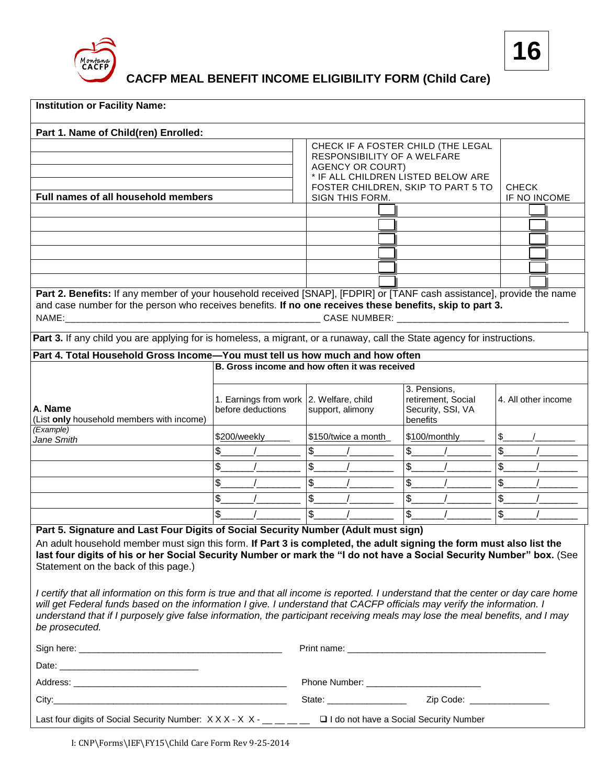

**CACFP MEAL BENEFIT INCOME ELIGIBILITY FORM (Child Care)**

| <b>Institution or Facility Name:</b>                                                                                                                                                                                                                                                                                                                                                                                                                                                                                                                                                                                                                                                                    |                                                              |                                                       |                                                                                                         |                              |
|---------------------------------------------------------------------------------------------------------------------------------------------------------------------------------------------------------------------------------------------------------------------------------------------------------------------------------------------------------------------------------------------------------------------------------------------------------------------------------------------------------------------------------------------------------------------------------------------------------------------------------------------------------------------------------------------------------|--------------------------------------------------------------|-------------------------------------------------------|---------------------------------------------------------------------------------------------------------|------------------------------|
| Part 1. Name of Child(ren) Enrolled:                                                                                                                                                                                                                                                                                                                                                                                                                                                                                                                                                                                                                                                                    |                                                              |                                                       |                                                                                                         |                              |
|                                                                                                                                                                                                                                                                                                                                                                                                                                                                                                                                                                                                                                                                                                         |                                                              | <b>AGENCY OR COURT)</b>                               | CHECK IF A FOSTER CHILD (THE LEGAL<br>RESPONSIBILITY OF A WELFARE<br>* IF ALL CHILDREN LISTED BELOW ARE |                              |
| Full names of all household members                                                                                                                                                                                                                                                                                                                                                                                                                                                                                                                                                                                                                                                                     |                                                              | FOSTER CHILDREN, SKIP TO PART 5 TO<br>SIGN THIS FORM. |                                                                                                         | <b>CHECK</b><br>IF NO INCOME |
|                                                                                                                                                                                                                                                                                                                                                                                                                                                                                                                                                                                                                                                                                                         |                                                              |                                                       |                                                                                                         |                              |
|                                                                                                                                                                                                                                                                                                                                                                                                                                                                                                                                                                                                                                                                                                         |                                                              |                                                       |                                                                                                         |                              |
|                                                                                                                                                                                                                                                                                                                                                                                                                                                                                                                                                                                                                                                                                                         |                                                              |                                                       |                                                                                                         |                              |
|                                                                                                                                                                                                                                                                                                                                                                                                                                                                                                                                                                                                                                                                                                         |                                                              |                                                       |                                                                                                         |                              |
|                                                                                                                                                                                                                                                                                                                                                                                                                                                                                                                                                                                                                                                                                                         |                                                              |                                                       |                                                                                                         |                              |
|                                                                                                                                                                                                                                                                                                                                                                                                                                                                                                                                                                                                                                                                                                         |                                                              |                                                       |                                                                                                         |                              |
| Part 2. Benefits: If any member of your household received [SNAP], [FDPIR] or [TANF cash assistance], provide the name<br>and case number for the person who receives benefits. If no one receives these benefits, skip to part 3.                                                                                                                                                                                                                                                                                                                                                                                                                                                                      |                                                              |                                                       |                                                                                                         |                              |
| Part 3. If any child you are applying for is homeless, a migrant, or a runaway, call the State agency for instructions.                                                                                                                                                                                                                                                                                                                                                                                                                                                                                                                                                                                 |                                                              |                                                       |                                                                                                         |                              |
| Part 4. Total Household Gross Income-You must tell us how much and how often                                                                                                                                                                                                                                                                                                                                                                                                                                                                                                                                                                                                                            |                                                              |                                                       |                                                                                                         |                              |
|                                                                                                                                                                                                                                                                                                                                                                                                                                                                                                                                                                                                                                                                                                         | B. Gross income and how often it was received                |                                                       |                                                                                                         |                              |
| A. Name<br>(List only household members with income)                                                                                                                                                                                                                                                                                                                                                                                                                                                                                                                                                                                                                                                    | 1. Earnings from work 2. Welfare, child<br>before deductions | support, alimony                                      | 3. Pensions,<br>retirement, Social<br>Security, SSI, VA<br>benefits                                     | 4. All other income          |
| (Example)<br>Jane Smith                                                                                                                                                                                                                                                                                                                                                                                                                                                                                                                                                                                                                                                                                 | \$200/weekly                                                 | \$150/twice a month                                   | \$100/monthly                                                                                           |                              |
|                                                                                                                                                                                                                                                                                                                                                                                                                                                                                                                                                                                                                                                                                                         | \$                                                           | \$                                                    | \$                                                                                                      |                              |
|                                                                                                                                                                                                                                                                                                                                                                                                                                                                                                                                                                                                                                                                                                         | \$                                                           | \$                                                    |                                                                                                         |                              |
|                                                                                                                                                                                                                                                                                                                                                                                                                                                                                                                                                                                                                                                                                                         | \$                                                           | \$                                                    | \$                                                                                                      | \$                           |
|                                                                                                                                                                                                                                                                                                                                                                                                                                                                                                                                                                                                                                                                                                         | \$                                                           | \$                                                    | \$                                                                                                      | \$                           |
|                                                                                                                                                                                                                                                                                                                                                                                                                                                                                                                                                                                                                                                                                                         | \$                                                           | \$                                                    |                                                                                                         | \$                           |
| Part 5. Signature and Last Four Digits of Social Security Number (Adult must sign)                                                                                                                                                                                                                                                                                                                                                                                                                                                                                                                                                                                                                      |                                                              |                                                       |                                                                                                         |                              |
| An adult household member must sign this form. If Part 3 is completed, the adult signing the form must also list the<br>last four digits of his or her Social Security Number or mark the "I do not have a Social Security Number" box. (See<br>Statement on the back of this page.)<br>I certify that all information on this form is true and that all income is reported. I understand that the center or day care home<br>will get Federal funds based on the information I give. I understand that CACFP officials may verify the information. I<br>understand that if I purposely give false information, the participant receiving meals may lose the meal benefits, and I may<br>be prosecuted. |                                                              |                                                       |                                                                                                         |                              |
|                                                                                                                                                                                                                                                                                                                                                                                                                                                                                                                                                                                                                                                                                                         |                                                              |                                                       |                                                                                                         |                              |
|                                                                                                                                                                                                                                                                                                                                                                                                                                                                                                                                                                                                                                                                                                         |                                                              |                                                       |                                                                                                         |                              |
|                                                                                                                                                                                                                                                                                                                                                                                                                                                                                                                                                                                                                                                                                                         |                                                              |                                                       |                                                                                                         |                              |
|                                                                                                                                                                                                                                                                                                                                                                                                                                                                                                                                                                                                                                                                                                         |                                                              |                                                       |                                                                                                         |                              |
|                                                                                                                                                                                                                                                                                                                                                                                                                                                                                                                                                                                                                                                                                                         |                                                              |                                                       |                                                                                                         |                              |
| Last four digits of Social Security Number: $X$ X X - X X - $\frac{1}{1}$ = $\frac{1}{1}$<br>I I do not have a Social Security Number                                                                                                                                                                                                                                                                                                                                                                                                                                                                                                                                                                   |                                                              |                                                       |                                                                                                         |                              |